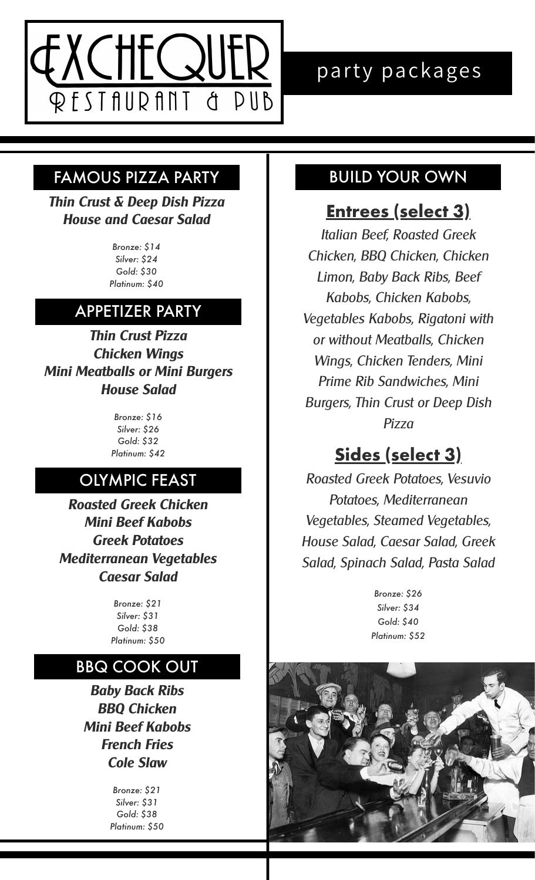

#### FAMOUS PIZZA PARTY **FAMOUS PIZZA PARTY**

*Thin Crust & Deep Dish Pizza House and Caesar Salad*

> *Bronze: \$14 Silver: \$24 Gold: \$30 Platinum: \$40*

## APPETIZER PARTY

*Thin Crust Pizza Chicken Wings Mini Meatballs or Mini Burgers House Salad*

> *Bronze: \$16 Silver: \$26 Gold: \$32 Platinum: \$42*

### OLYMPIC FEAST

*Roasted Greek Chicken Mini Beef Kabobs Greek Potatoes Mediterranean Vegetables Caesar Salad*

> *Bronze: \$21 Silver: \$31 Gold: \$38 Platinum: \$50*

#### BBQ COOK OUT

*Baby Back Ribs BBQ Chicken Mini Beef Kabobs French Fries Cole Slaw*

> *Bronze: \$21 Silver: \$31 Gold: \$38 Platinum: \$50*

## **Entrees (select 3)**

*Italian Beef, Roasted Greek Chicken, BBQ Chicken, Chicken Limon, Baby Back Ribs, Beef Kabobs, Chicken Kabobs, Vegetables Kabobs, Rigatoni with or without Meatballs, Chicken Wings, Chicken Tenders, Mini Prime Rib Sandwiches, Mini Burgers, Thin Crust or Deep Dish Pizza*

## **Sides (select 3)**

*Roasted Greek Potatoes, Vesuvio Potatoes, Mediterranean Vegetables, Steamed Vegetables, House Salad, Caesar Salad, Greek Salad, Spinach Salad, Pasta Salad*

> *Bronze: \$26 Silver: \$34 Gold: \$40 Platinum: \$52*